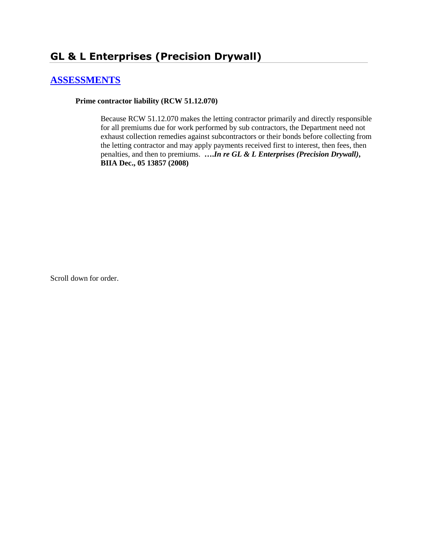# **GL & L Enterprises (Precision Drywall)**

## **[ASSESSMENTS](http://www.biia.wa.gov/SDSubjectIndex.html#ASSESSMENTS)**

**Prime contractor liability (RCW 51.12.070)**

Because RCW 51.12.070 makes the letting contractor primarily and directly responsible for all premiums due for work performed by sub contractors, the Department need not exhaust collection remedies against subcontractors or their bonds before collecting from the letting contractor and may apply payments received first to interest, then fees, then penalties, and then to premiums. **….***In re GL & L Enterprises (Precision Drywall)***, BIIA Dec., 05 13857 (2008)**

Scroll down for order.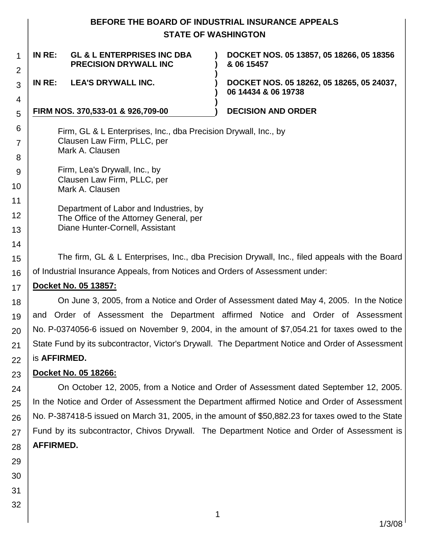## **BEFORE THE BOARD OF INDUSTRIAL INSURANCE APPEALS STATE OF WASHINGTON**

### 1 2 3 4 5 6 7 8 9 10 11 12 13 14 15 16 17 18 19 20 21 22 **IN RE: GL & L ENTERPRISES INC DBA PRECISION DRYWALL INC ) ) ) DOCKET NOS. 05 13857, 05 18266, 05 18356 & 06 15457 IN RE: LEA'S DRYWALL INC. ) DOCKET NOS. 05 18262, 05 18265, 05 24037, ) 06 14434 & 06 19738 ) FIRM NOS. 370,533-01 & 926,709-00 ) DECISION AND ORDER** Firm, GL & L Enterprises, Inc., dba Precision Drywall, Inc., by Clausen Law Firm, PLLC, per Mark A. Clausen Firm, Lea's Drywall, Inc., by Clausen Law Firm, PLLC, per Mark A. Clausen Department of Labor and Industries, by The Office of the Attorney General, per Diane Hunter-Cornell, Assistant The firm, GL & L Enterprises, Inc., dba Precision Drywall, Inc., filed appeals with the Board of Industrial Insurance Appeals, from Notices and Orders of Assessment under: **Docket No. 05 13857:** On June 3, 2005, from a Notice and Order of Assessment dated May 4, 2005. In the Notice and Order of Assessment the Department affirmed Notice and Order of Assessment No. P-0374056-6 issued on November 9, 2004, in the amount of \$7,054.21 for taxes owed to the State Fund by its subcontractor, Victor's Drywall. The Department Notice and Order of Assessment is **AFFIRMED.**

#### 23 **Docket No. 05 18266:**

24 25 26 27 28 On October 12, 2005, from a Notice and Order of Assessment dated September 12, 2005. In the Notice and Order of Assessment the Department affirmed Notice and Order of Assessment No. P-387418-5 issued on March 31, 2005, in the amount of \$50,882.23 for taxes owed to the State Fund by its subcontractor, Chivos Drywall. The Department Notice and Order of Assessment is **AFFIRMED.**

- 29 30
- 31
- 32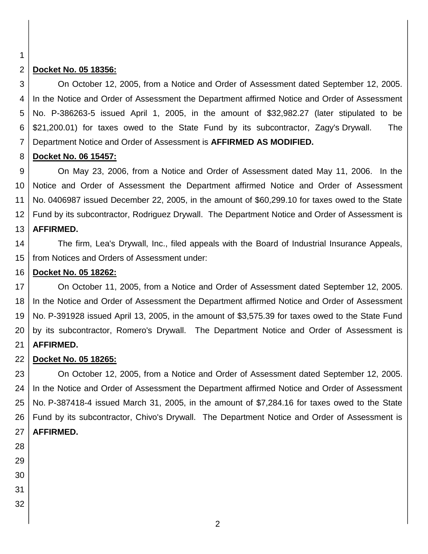1

#### 2 **Docket No. 05 18356:**

3 4 5 6 7 On October 12, 2005, from a Notice and Order of Assessment dated September 12, 2005. In the Notice and Order of Assessment the Department affirmed Notice and Order of Assessment No. P-386263-5 issued April 1, 2005, in the amount of \$32,982.27 (later stipulated to be \$21,200.01) for taxes owed to the State Fund by its subcontractor, Zagy's Drywall. The Department Notice and Order of Assessment is **AFFIRMED AS MODIFIED.**

#### 8 **Docket No. 06 15457:**

9 10 11 12 13 On May 23, 2006, from a Notice and Order of Assessment dated May 11, 2006. In the Notice and Order of Assessment the Department affirmed Notice and Order of Assessment No. 0406987 issued December 22, 2005, in the amount of \$60,299.10 for taxes owed to the State Fund by its subcontractor, Rodriguez Drywall. The Department Notice and Order of Assessment is **AFFIRMED.**

14 15 The firm, Lea's Drywall, Inc., filed appeals with the Board of Industrial Insurance Appeals, from Notices and Orders of Assessment under:

#### 16 **Docket No. 05 18262:**

17 18 19 20 21 On October 11, 2005, from a Notice and Order of Assessment dated September 12, 2005. In the Notice and Order of Assessment the Department affirmed Notice and Order of Assessment No. P-391928 issued April 13, 2005, in the amount of \$3,575.39 for taxes owed to the State Fund by its subcontractor, Romero's Drywall. The Department Notice and Order of Assessment is **AFFIRMED.**

#### 22 **Docket No. 05 18265:**

23 24 25 26 27 On October 12, 2005, from a Notice and Order of Assessment dated September 12, 2005. In the Notice and Order of Assessment the Department affirmed Notice and Order of Assessment No. P-387418-4 issued March 31, 2005, in the amount of \$7,284.16 for taxes owed to the State Fund by its subcontractor, Chivo's Drywall. The Department Notice and Order of Assessment is **AFFIRMED.**

- 28 29
- 30
- 31
- 32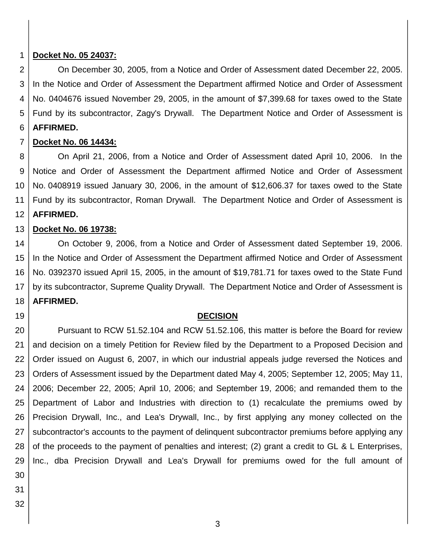#### 1 **Docket No. 05 24037:**

2 3 4 5 6 On December 30, 2005, from a Notice and Order of Assessment dated December 22, 2005. In the Notice and Order of Assessment the Department affirmed Notice and Order of Assessment No. 0404676 issued November 29, 2005, in the amount of \$7,399.68 for taxes owed to the State Fund by its subcontractor, Zagy's Drywall. The Department Notice and Order of Assessment is **AFFIRMED.**

#### 7 **Docket No. 06 14434:**

8 9 10 11 12 On April 21, 2006, from a Notice and Order of Assessment dated April 10, 2006. In the Notice and Order of Assessment the Department affirmed Notice and Order of Assessment No. 0408919 issued January 30, 2006, in the amount of \$12,606.37 for taxes owed to the State Fund by its subcontractor, Roman Drywall. The Department Notice and Order of Assessment is **AFFIRMED.**

#### 13 **Docket No. 06 19738:**

14 15 16 17 18 On October 9, 2006, from a Notice and Order of Assessment dated September 19, 2006. In the Notice and Order of Assessment the Department affirmed Notice and Order of Assessment No. 0392370 issued April 15, 2005, in the amount of \$19,781.71 for taxes owed to the State Fund by its subcontractor, Supreme Quality Drywall. The Department Notice and Order of Assessment is **AFFIRMED.**

### **DECISION**

20 21 22 23 24 25 26 27 28 29 30 Pursuant to RCW 51.52.104 and RCW 51.52.106, this matter is before the Board for review and decision on a timely Petition for Review filed by the Department to a Proposed Decision and Order issued on August 6, 2007, in which our industrial appeals judge reversed the Notices and Orders of Assessment issued by the Department dated May 4, 2005; September 12, 2005; May 11, 2006; December 22, 2005; April 10, 2006; and September 19, 2006; and remanded them to the Department of Labor and Industries with direction to (1) recalculate the premiums owed by Precision Drywall, Inc., and Lea's Drywall, Inc., by first applying any money collected on the subcontractor's accounts to the payment of delinquent subcontractor premiums before applying any of the proceeds to the payment of penalties and interest; (2) grant a credit to GL & L Enterprises, Inc., dba Precision Drywall and Lea's Drywall for premiums owed for the full amount of

- 31
- 32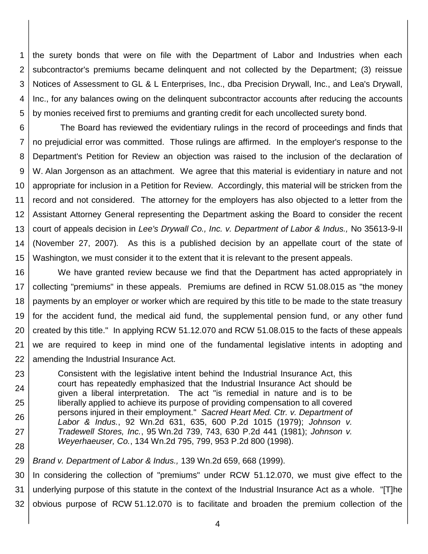1 2 3 4 5 the surety bonds that were on file with the Department of Labor and Industries when each subcontractor's premiums became delinquent and not collected by the Department; (3) reissue Notices of Assessment to GL & L Enterprises, Inc., dba Precision Drywall, Inc., and Lea's Drywall, Inc., for any balances owing on the delinquent subcontractor accounts after reducing the accounts by monies received first to premiums and granting credit for each uncollected surety bond.

6 7 8 9 10 11 12 13 14 15 The Board has reviewed the evidentiary rulings in the record of proceedings and finds that no prejudicial error was committed. Those rulings are affirmed. In the employer's response to the Department's Petition for Review an objection was raised to the inclusion of the declaration of W. Alan Jorgenson as an attachment. We agree that this material is evidentiary in nature and not appropriate for inclusion in a Petition for Review. Accordingly, this material will be stricken from the record and not considered. The attorney for the employers has also objected to a letter from the Assistant Attorney General representing the Department asking the Board to consider the recent court of appeals decision in *Lee's Drywall Co., Inc. v. Department of Labor & Indus.,* No 35613-9-II (November 27, 2007)*.* As this is a published decision by an appellate court of the state of Washington, we must consider it to the extent that it is relevant to the present appeals.

16 17 18 19 20 21 22 We have granted review because we find that the Department has acted appropriately in collecting "premiums" in these appeals. Premiums are defined in RCW 51.08.015 as "the money payments by an employer or worker which are required by this title to be made to the state treasury for the accident fund, the medical aid fund, the supplemental pension fund, or any other fund created by this title." In applying RCW 51.12.070 and RCW 51.08.015 to the facts of these appeals we are required to keep in mind one of the fundamental legislative intents in adopting and amending the Industrial Insurance Act.

23 24 25 26 27 28 Consistent with the legislative intent behind the Industrial Insurance Act, this court has repeatedly emphasized that the Industrial Insurance Act should be given a liberal interpretation. The act "is remedial in nature and is to be liberally applied to achieve its purpose of providing compensation to all covered persons injured in their employment." *Sacred Heart Med. Ctr. v. Department of Labor & Indus.*, 92 Wn.2d 631, 635, 600 P.2d 1015 (1979); *Johnson v. Tradewell Stores, Inc.*, 95 Wn.2d 739, 743, 630 P.2d 441 (1981); *Johnson v. Weyerhaeuser, Co.*, 134 Wn.2d 795, 799, 953 P.2d 800 (1998).

29 *Brand v. Department of Labor & Indus.,* 139 Wn.2d 659, 668 (1999).

30 31 32 In considering the collection of "premiums" under RCW 51.12.070, we must give effect to the underlying purpose of this statute in the context of the Industrial Insurance Act as a whole. "[T]he obvious purpose of RCW 51.12.070 is to facilitate and broaden the premium collection of the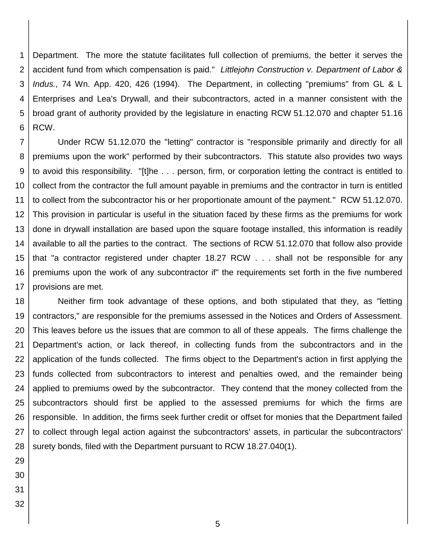1 2 3 4 5 6 Department. The more the statute facilitates full collection of premiums, the better it serves the accident fund from which compensation is paid." *Littlejohn Construction v. Department of Labor & Indus.*, 74 Wn. App. 420, 426 (1994). The Department, in collecting "premiums" from GL & L Enterprises and Lea's Drywall, and their subcontractors, acted in a manner consistent with the broad grant of authority provided by the legislature in enacting RCW 51.12.070 and chapter 51.16 RCW.

7 8 9 10 11 12 13 14 15 16 17 Under RCW 51.12.070 the "letting" contractor is "responsible primarily and directly for all premiums upon the work" performed by their subcontractors. This statute also provides two ways to avoid this responsibility. "[t]he . . . person, firm, or corporation letting the contract is entitled to collect from the contractor the full amount payable in premiums and the contractor in turn is entitled to collect from the subcontractor his or her proportionate amount of the payment." RCW 51.12.070. This provision in particular is useful in the situation faced by these firms as the premiums for work done in drywall installation are based upon the square footage installed, this information is readily available to all the parties to the contract. The sections of RCW 51.12.070 that follow also provide that "a contractor registered under chapter 18.27 RCW . . . shall not be responsible for any premiums upon the work of any subcontractor if" the requirements set forth in the five numbered provisions are met.

18 19 20 21 22 23 24 25 26 27 28 Neither firm took advantage of these options, and both stipulated that they, as "letting contractors," are responsible for the premiums assessed in the Notices and Orders of Assessment. This leaves before us the issues that are common to all of these appeals. The firms challenge the Department's action, or lack thereof, in collecting funds from the subcontractors and in the application of the funds collected. The firms object to the Department's action in first applying the funds collected from subcontractors to interest and penalties owed, and the remainder being applied to premiums owed by the subcontractor. They contend that the money collected from the subcontractors should first be applied to the assessed premiums for which the firms are responsible. In addition, the firms seek further credit or offset for monies that the Department failed to collect through legal action against the subcontractors' assets, in particular the subcontractors' surety bonds, filed with the Department pursuant to RCW 18.27.040(1).

- 29 30
- 31
- 32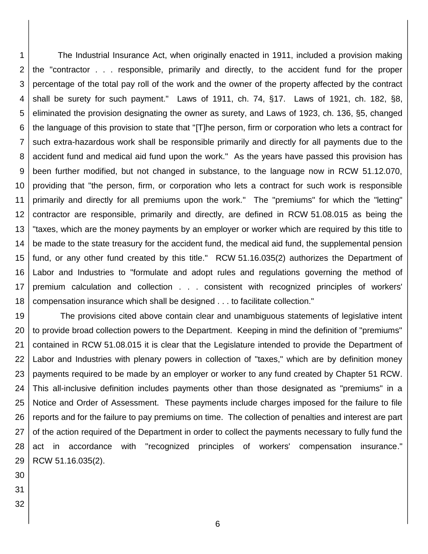1 2 3 4 5 6 7 8 9 10 11 12 13 14 15 16 17 18 The Industrial Insurance Act, when originally enacted in 1911, included a provision making the "contractor . . . responsible, primarily and directly, to the accident fund for the proper percentage of the total pay roll of the work and the owner of the property affected by the contract shall be surety for such payment." Laws of 1911, ch. 74, §17. Laws of 1921, ch. 182, §8, eliminated the provision designating the owner as surety, and Laws of 1923, ch. 136, §5, changed the language of this provision to state that "[T]he person, firm or corporation who lets a contract for such extra-hazardous work shall be responsible primarily and directly for all payments due to the accident fund and medical aid fund upon the work." As the years have passed this provision has been further modified, but not changed in substance, to the language now in RCW 51.12.070, providing that "the person, firm, or corporation who lets a contract for such work is responsible primarily and directly for all premiums upon the work." The "premiums" for which the "letting" contractor are responsible, primarily and directly, are defined in RCW 51.08.015 as being the "taxes, which are the money payments by an employer or worker which are required by this title to be made to the state treasury for the accident fund, the medical aid fund, the supplemental pension fund, or any other fund created by this title." RCW 51.16.035(2) authorizes the Department of Labor and Industries to "formulate and adopt rules and regulations governing the method of premium calculation and collection . . . consistent with recognized principles of workers' compensation insurance which shall be designed . . . to facilitate collection."

19 20 21 22 23 24 25 26 27 28 29 The provisions cited above contain clear and unambiguous statements of legislative intent to provide broad collection powers to the Department. Keeping in mind the definition of "premiums" contained in RCW 51.08.015 it is clear that the Legislature intended to provide the Department of Labor and Industries with plenary powers in collection of "taxes," which are by definition money payments required to be made by an employer or worker to any fund created by Chapter 51 RCW. This all-inclusive definition includes payments other than those designated as "premiums" in a Notice and Order of Assessment. These payments include charges imposed for the failure to file reports and for the failure to pay premiums on time. The collection of penalties and interest are part of the action required of the Department in order to collect the payments necessary to fully fund the act in accordance with "recognized principles of workers' compensation insurance." RCW 51.16.035(2).

- 30
- 31
- 32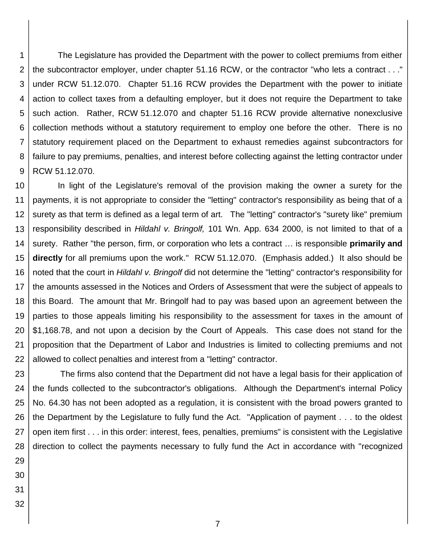1 2 3 4 5 6 7 8 9 The Legislature has provided the Department with the power to collect premiums from either the subcontractor employer, under chapter 51.16 RCW, or the contractor "who lets a contract . . ." under RCW 51.12.070. Chapter 51.16 RCW provides the Department with the power to initiate action to collect taxes from a defaulting employer, but it does not require the Department to take such action. Rather, RCW 51.12.070 and chapter 51.16 RCW provide alternative nonexclusive collection methods without a statutory requirement to employ one before the other. There is no statutory requirement placed on the Department to exhaust remedies against subcontractors for failure to pay premiums, penalties, and interest before collecting against the letting contractor under RCW 51.12.070.

10 11 12 13 14 15 16 17 18 19 20 21 22 In light of the Legislature's removal of the provision making the owner a surety for the payments, it is not appropriate to consider the "letting" contractor's responsibility as being that of a surety as that term is defined as a legal term of art. The "letting" contractor's "surety like" premium responsibility described in *Hildahl v. Bringolf,* 101 Wn. App. 634 2000, is not limited to that of a surety. Rather "the person, firm, or corporation who lets a contract … is responsible **primarily and directly** for all premiums upon the work." RCW 51.12.070. (Emphasis added.) It also should be noted that the court in *Hildahl v. Bringolf* did not determine the "letting" contractor's responsibility for the amounts assessed in the Notices and Orders of Assessment that were the subject of appeals to this Board. The amount that Mr. Bringolf had to pay was based upon an agreement between the parties to those appeals limiting his responsibility to the assessment for taxes in the amount of \$1,168.78, and not upon a decision by the Court of Appeals. This case does not stand for the proposition that the Department of Labor and Industries is limited to collecting premiums and not allowed to collect penalties and interest from a "letting" contractor.

23 24 25 26 27 28 The firms also contend that the Department did not have a legal basis for their application of the funds collected to the subcontractor's obligations. Although the Department's internal Policy No. 64.30 has not been adopted as a regulation, it is consistent with the broad powers granted to the Department by the Legislature to fully fund the Act. "Application of payment . . . to the oldest open item first . . . in this order: interest, fees, penalties, premiums" is consistent with the Legislative direction to collect the payments necessary to fully fund the Act in accordance with "recognized

- 29 30
- 31
- 32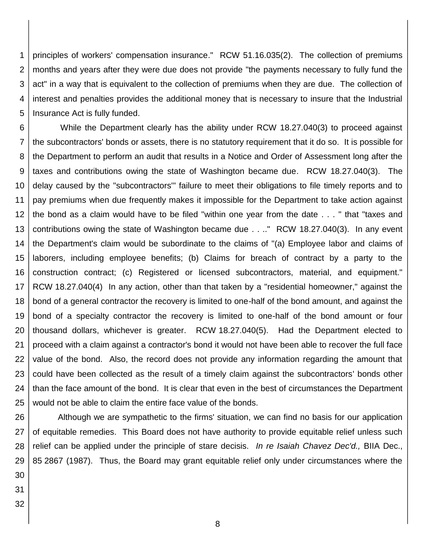1 2 3 4 5 principles of workers' compensation insurance." RCW 51.16.035(2). The collection of premiums months and years after they were due does not provide "the payments necessary to fully fund the act" in a way that is equivalent to the collection of premiums when they are due. The collection of interest and penalties provides the additional money that is necessary to insure that the Industrial Insurance Act is fully funded.

6 7 8 9 10 11 12 13 14 15 16 17 18 19 20 21 22 23 24 25 While the Department clearly has the ability under RCW 18.27.040(3) to proceed against the subcontractors' bonds or assets, there is no statutory requirement that it do so. It is possible for the Department to perform an audit that results in a Notice and Order of Assessment long after the taxes and contributions owing the state of Washington became due. RCW 18.27.040(3). The delay caused by the "subcontractors'" failure to meet their obligations to file timely reports and to pay premiums when due frequently makes it impossible for the Department to take action against the bond as a claim would have to be filed "within one year from the date . . . " that "taxes and contributions owing the state of Washington became due . . .." RCW 18.27.040(3). In any event the Department's claim would be subordinate to the claims of "(a) Employee labor and claims of laborers, including employee benefits; (b) Claims for breach of contract by a party to the construction contract; (c) Registered or licensed subcontractors, material, and equipment." RCW 18.27.040(4) In any action, other than that taken by a "residential homeowner," against the bond of a general contractor the recovery is limited to one-half of the bond amount, and against the bond of a specialty contractor the recovery is limited to one-half of the bond amount or four thousand dollars, whichever is greater. RCW 18.27.040(5). Had the Department elected to proceed with a claim against a contractor's bond it would not have been able to recover the full face value of the bond. Also, the record does not provide any information regarding the amount that could have been collected as the result of a timely claim against the subcontractors' bonds other than the face amount of the bond. It is clear that even in the best of circumstances the Department would not be able to claim the entire face value of the bonds.

26 27 28 29 30 Although we are sympathetic to the firms' situation, we can find no basis for our application of equitable remedies. This Board does not have authority to provide equitable relief unless such relief can be applied under the principle of stare decisis. *In re Isaiah Chavez Dec'd.,* BIIA Dec., 85 2867 (1987). Thus, the Board may grant equitable relief only under circumstances where the

- 31
- 32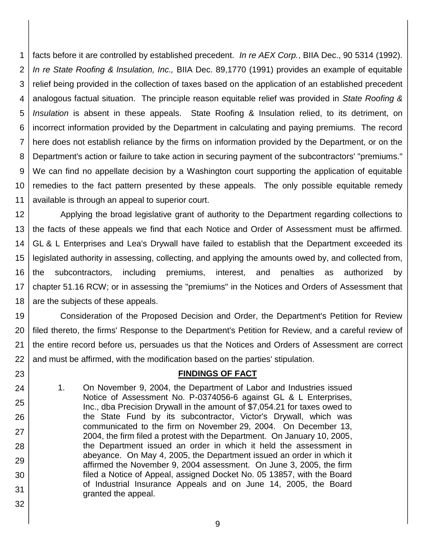1 2 3 4 5 6 7 8 9 10 11 facts before it are controlled by established precedent. *In re AEX Corp.*, BIIA Dec., 90 5314 (1992). *In re State Roofing & Insulation, Inc.,* BIIA Dec. 89,1770 (1991) provides an example of equitable relief being provided in the collection of taxes based on the application of an established precedent analogous factual situation. The principle reason equitable relief was provided in *State Roofing & Insulation* is absent in these appeals. State Roofing & Insulation relied, to its detriment, on incorrect information provided by the Department in calculating and paying premiums. The record here does not establish reliance by the firms on information provided by the Department, or on the Department's action or failure to take action in securing payment of the subcontractors' "premiums." We can find no appellate decision by a Washington court supporting the application of equitable remedies to the fact pattern presented by these appeals. The only possible equitable remedy available is through an appeal to superior court.

12 13 14 15 16 17 18 Applying the broad legislative grant of authority to the Department regarding collections to the facts of these appeals we find that each Notice and Order of Assessment must be affirmed. GL & L Enterprises and Lea's Drywall have failed to establish that the Department exceeded its legislated authority in assessing, collecting, and applying the amounts owed by, and collected from, the subcontractors, including premiums, interest, and penalties as authorized by chapter 51.16 RCW; or in assessing the "premiums" in the Notices and Orders of Assessment that are the subjects of these appeals.

19 20 21 22 Consideration of the Proposed Decision and Order, the Department's Petition for Review filed thereto, the firms' Response to the Department's Petition for Review, and a careful review of the entire record before us, persuades us that the Notices and Orders of Assessment are correct and must be affirmed, with the modification based on the parties' stipulation.

### **FINDINGS OF FACT**

1. On November 9, 2004, the Department of Labor and Industries issued Notice of Assessment No. P-0374056-6 against GL & L Enterprises, Inc., dba Precision Drywall in the amount of \$7,054.21 for taxes owed to the State Fund by its subcontractor, Victor's Drywall, which was communicated to the firm on November 29, 2004. On December 13, 2004, the firm filed a protest with the Department. On January 10, 2005, the Department issued an order in which it held the assessment in abeyance. On May 4, 2005, the Department issued an order in which it affirmed the November 9, 2004 assessment. On June 3, 2005, the firm filed a Notice of Appeal, assigned Docket No. 05 13857, with the Board of Industrial Insurance Appeals and on June 14, 2005, the Board granted the appeal.

23

24

25

26

27

28

29

30

31

32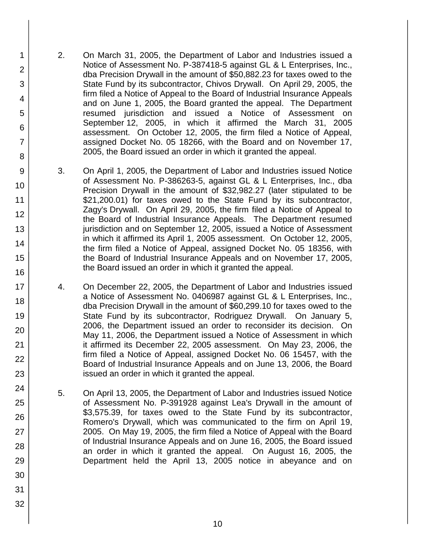- 2. On March 31, 2005, the Department of Labor and Industries issued a Notice of Assessment No. P-387418-5 against GL & L Enterprises, Inc., dba Precision Drywall in the amount of \$50,882.23 for taxes owed to the State Fund by its subcontractor, Chivos Drywall. On April 29, 2005, the firm filed a Notice of Appeal to the Board of Industrial Insurance Appeals and on June 1, 2005, the Board granted the appeal. The Department resumed jurisdiction and issued a Notice of Assessment on September 12, 2005, in which it affirmed the March 31, 2005 assessment. On October 12, 2005, the firm filed a Notice of Appeal, assigned Docket No. 05 18266, with the Board and on November 17, 2005, the Board issued an order in which it granted the appeal.
	- 3. On April 1, 2005, the Department of Labor and Industries issued Notice of Assessment No. P-386263-5, against GL & L Enterprises, Inc., dba Precision Drywall in the amount of \$32,982.27 (later stipulated to be \$21,200.01) for taxes owed to the State Fund by its subcontractor, Zagy's Drywall. On April 29, 2005, the firm filed a Notice of Appeal to the Board of Industrial Insurance Appeals. The Department resumed jurisdiction and on September 12, 2005, issued a Notice of Assessment in which it affirmed its April 1, 2005 assessment. On October 12, 2005, the firm filed a Notice of Appeal, assigned Docket No. 05 18356, with the Board of Industrial Insurance Appeals and on November 17, 2005, the Board issued an order in which it granted the appeal.
	- 4. On December 22, 2005, the Department of Labor and Industries issued a Notice of Assessment No. 0406987 against GL & L Enterprises, Inc., dba Precision Drywall in the amount of \$60,299.10 for taxes owed to the State Fund by its subcontractor, Rodriguez Drywall. On January 5, 2006, the Department issued an order to reconsider its decision. On May 11, 2006, the Department issued a Notice of Assessment in which it affirmed its December 22, 2005 assessment. On May 23, 2006, the firm filed a Notice of Appeal, assigned Docket No. 06 15457, with the Board of Industrial Insurance Appeals and on June 13, 2006, the Board issued an order in which it granted the appeal.
	- 5. On April 13, 2005, the Department of Labor and Industries issued Notice of Assessment No. P-391928 against Lea's Drywall in the amount of \$3,575.39, for taxes owed to the State Fund by its subcontractor, Romero's Drywall, which was communicated to the firm on April 19, 2005. On May 19, 2005, the firm filed a Notice of Appeal with the Board of Industrial Insurance Appeals and on June 16, 2005, the Board issued an order in which it granted the appeal. On August 16, 2005, the Department held the April 13, 2005 notice in abeyance and on
- 13 14 15 16 17 18 19 20 21 22 23 24 25 26 27 28 29 30 31 32

1

2

3

4 5

6

7

8

9

10

11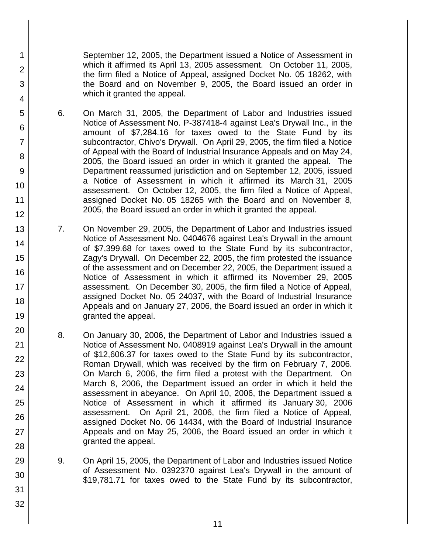September 12, 2005, the Department issued a Notice of Assessment in which it affirmed its April 13, 2005 assessment. On October 11, 2005, the firm filed a Notice of Appeal, assigned Docket No. 05 18262, with the Board and on November 9, 2005, the Board issued an order in which it granted the appeal.

6. On March 31, 2005, the Department of Labor and Industries issued Notice of Assessment No. P-387418-4 against Lea's Drywall Inc., in the amount of \$7,284.16 for taxes owed to the State Fund by its subcontractor, Chivo's Drywall. On April 29, 2005, the firm filed a Notice of Appeal with the Board of Industrial Insurance Appeals and on May 24, 2005, the Board issued an order in which it granted the appeal. The Department reassumed jurisdiction and on September 12, 2005, issued a Notice of Assessment in which it affirmed its March 31, 2005 assessment. On October 12, 2005, the firm filed a Notice of Appeal, assigned Docket No. 05 18265 with the Board and on November 8, 2005, the Board issued an order in which it granted the appeal.

1

2

3

4

5

6

7

8

9

10

11 12

13

14

15

16

17

18

19

20

21

22

23

24

25

26

27

28

29

30

31

- 7. On November 29, 2005, the Department of Labor and Industries issued Notice of Assessment No. 0404676 against Lea's Drywall in the amount of \$7,399.68 for taxes owed to the State Fund by its subcontractor, Zagy's Drywall. On December 22, 2005, the firm protested the issuance of the assessment and on December 22, 2005, the Department issued a Notice of Assessment in which it affirmed its November 29, 2005 assessment. On December 30, 2005, the firm filed a Notice of Appeal, assigned Docket No. 05 24037, with the Board of Industrial Insurance Appeals and on January 27, 2006, the Board issued an order in which it granted the appeal.
- 8. On January 30, 2006, the Department of Labor and Industries issued a Notice of Assessment No. 0408919 against Lea's Drywall in the amount of \$12,606.37 for taxes owed to the State Fund by its subcontractor, Roman Drywall, which was received by the firm on February 7, 2006. On March 6, 2006, the firm filed a protest with the Department. On March 8, 2006, the Department issued an order in which it held the assessment in abeyance. On April 10, 2006, the Department issued a Notice of Assessment in which it affirmed its January 30, 2006 assessment. On April 21, 2006, the firm filed a Notice of Appeal, assigned Docket No. 06 14434, with the Board of Industrial Insurance Appeals and on May 25, 2006, the Board issued an order in which it granted the appeal.
- 9. On April 15, 2005, the Department of Labor and Industries issued Notice of Assessment No. 0392370 against Lea's Drywall in the amount of \$19,781.71 for taxes owed to the State Fund by its subcontractor,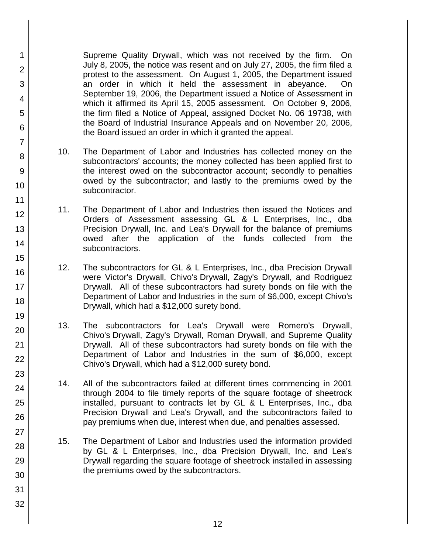Supreme Quality Drywall, which was not received by the firm. On July 8, 2005, the notice was resent and on July 27, 2005, the firm filed a protest to the assessment. On August 1, 2005, the Department issued an order in which it held the assessment in abeyance. On September 19, 2006, the Department issued a Notice of Assessment in which it affirmed its April 15, 2005 assessment. On October 9, 2006, the firm filed a Notice of Appeal, assigned Docket No. 06 19738, with the Board of Industrial Insurance Appeals and on November 20, 2006, the Board issued an order in which it granted the appeal.

1

2

3

4

5

6

7

8

9

10

11 12

13

14

15

16

17 18

19

20

21

22

23

24

25

26

27

28

29

30

31

- 10. The Department of Labor and Industries has collected money on the subcontractors' accounts; the money collected has been applied first to the interest owed on the subcontractor account; secondly to penalties owed by the subcontractor; and lastly to the premiums owed by the subcontractor.
- 11. The Department of Labor and Industries then issued the Notices and Orders of Assessment assessing GL & L Enterprises, Inc., dba Precision Drywall, Inc. and Lea's Drywall for the balance of premiums owed after the application of the funds collected from the subcontractors.
- 12. The subcontractors for GL & L Enterprises, Inc., dba Precision Drywall were Victor's Drywall, Chivo's Drywall, Zagy's Drywall, and Rodriguez Drywall. All of these subcontractors had surety bonds on file with the Department of Labor and Industries in the sum of \$6,000, except Chivo's Drywall, which had a \$12,000 surety bond.
- 13. The subcontractors for Lea's Drywall were Romero's Drywall, Chivo's Drywall, Zagy's Drywall, Roman Drywall, and Supreme Quality Drywall. All of these subcontractors had surety bonds on file with the Department of Labor and Industries in the sum of \$6,000, except Chivo's Drywall, which had a \$12,000 surety bond.
- 14. All of the subcontractors failed at different times commencing in 2001 through 2004 to file timely reports of the square footage of sheetrock installed, pursuant to contracts let by GL & L Enterprises, Inc., dba Precision Drywall and Lea's Drywall, and the subcontractors failed to pay premiums when due, interest when due, and penalties assessed.
- 15. The Department of Labor and Industries used the information provided by GL & L Enterprises, Inc., dba Precision Drywall, Inc. and Lea's Drywall regarding the square footage of sheetrock installed in assessing the premiums owed by the subcontractors.
	- 12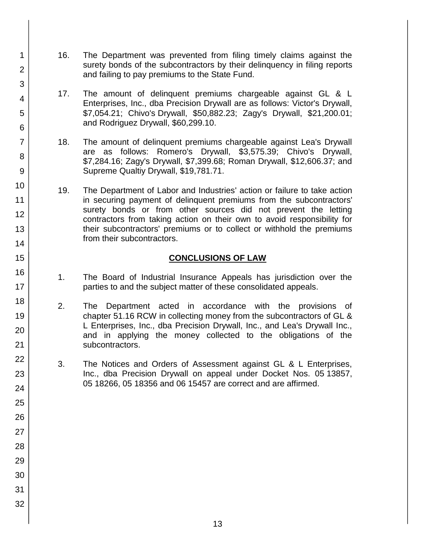- 16. The Department was prevented from filing timely claims against the surety bonds of the subcontractors by their delinquency in filing reports and failing to pay premiums to the State Fund.
- 17. The amount of delinquent premiums chargeable against GL & L Enterprises, Inc., dba Precision Drywall are as follows: Victor's Drywall, \$7,054.21; Chivo's Drywall, \$50,882.23; Zagy's Drywall, \$21,200.01; and Rodriguez Drywall, \$60,299.10.
- 18. The amount of delinquent premiums chargeable against Lea's Drywall are as follows: Romero's Drywall, \$3,575.39; Chivo's Drywall, \$7,284.16; Zagy's Drywall, \$7,399.68; Roman Drywall, \$12,606.37; and Supreme Qualtiy Drywall, \$19,781.71.
- 19. The Department of Labor and Industries' action or failure to take action in securing payment of delinquent premiums from the subcontractors' surety bonds or from other sources did not prevent the letting contractors from taking action on their own to avoid responsibility for their subcontractors' premiums or to collect or withhold the premiums from their subcontractors.

### **CONCLUSIONS OF LAW**

- 1. The Board of Industrial Insurance Appeals has jurisdiction over the parties to and the subject matter of these consolidated appeals.
- 2. The Department acted in accordance with the provisions of chapter 51.16 RCW in collecting money from the subcontractors of GL & L Enterprises, Inc., dba Precision Drywall, Inc., and Lea's Drywall Inc., and in applying the money collected to the obligations of the subcontractors.
- 3. The Notices and Orders of Assessment against GL & L Enterprises, Inc., dba Precision Drywall on appeal under Docket Nos. 05 13857, 05 18266, 05 18356 and 06 15457 are correct and are affirmed.
- 2 3 4 5 6 7 8 9 10 11 12 13 14 15 16 17 18 19 20 21 22 23 24 25 26 27 28 29 30 31

32